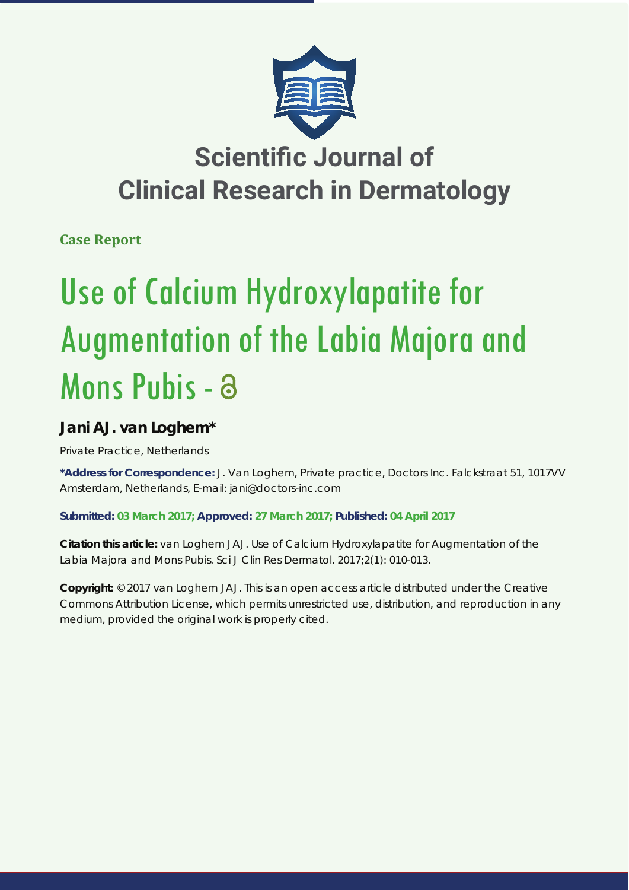

## **Scientific Journal of Clinical Research in Dermatology**

**Case Report**

# Use of Calcium Hydroxylapatite for Augmentation of the Labia Majora and Mons Pubis - a

### **Jani AJ. van Loghem\***

*Private Practice, Netherlands*

**\*Address for Correspondence:** J. Van Loghem, Private practice, Doctors Inc. Falckstraat 51, 1017VV Amsterdam, Netherlands, E-mail: jani@doctors-inc.com

**Submitted: 03 March 2017; Approved: 27 March 2017; Published: 04 April 2017**

**Citation this article:** van Loghem JAJ. Use of Calcium Hydroxylapatite for Augmentation of the Labia Majora and Mons Pubis. Sci J Clin Res Dermatol. 2017;2(1): 010-013.

**Copyright:** © 2017 van Loghem JAJ. This is an open access article distributed under the Creative Commons Attribution License, which permits unrestricted use, distribution, and reproduction in any medium, provided the original work is properly cited.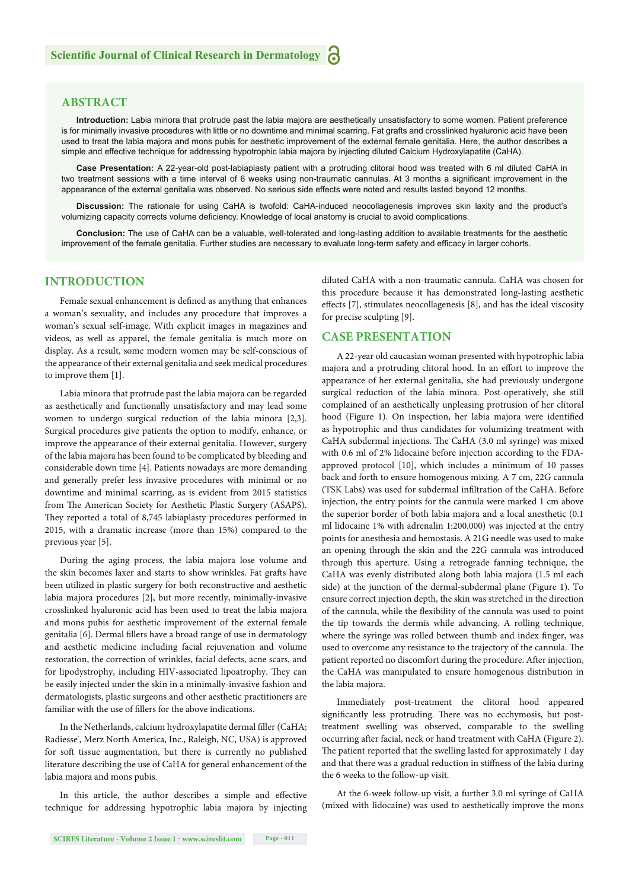#### **ABSTRACT**

**Introduction:** Labia minora that protrude past the labia majora are aesthetically unsatisfactory to some women. Patient preference is for minimally invasive procedures with little or no downtime and minimal scarring. Fat grafts and crosslinked hyaluronic acid have been used to treat the labia majora and mons pubis for aesthetic improvement of the external female genitalia. Here, the author describes a simple and effective technique for addressing hypotrophic labia majora by injecting diluted Calcium Hydroxylapatite (CaHA).

**Case Presentation:** A 22-year-old post-labiaplasty patient with a protruding clitoral hood was treated with 6 ml diluted CaHA in two treatment sessions with a time interval of 6 weeks using non-traumatic cannulas. At 3 months a significant improvement in the appearance of the external genitalia was observed. No serious side effects were noted and results lasted beyond 12 months.

**Discussion:** The rationale for using CaHA is twofold: CaHA-induced neocollagenesis improves skin laxity and the product's volumizing capacity corrects volume deficiency. Knowledge of local anatomy is crucial to avoid complications.

**Conclusion:** The use of CaHA can be a valuable, well-tolerated and long-lasting addition to available treatments for the aesthetic improvement of the female genitalia. Further studies are necessary to evaluate long-term safety and efficacy in larger cohorts.

#### **INTRODUCTION**

Female sexual enhancement is defined as anything that enhances a woman's sexuality, and includes any procedure that improves a woman's sexual self-image. With explicit images in magazines and videos, as well as apparel, the female genitalia is much more on display. As a result, some modern women may be self-conscious of the appearance of their external genitalia and seek medical procedures to improve them [1].

Labia minora that protrude past the labia majora can be regarded as aesthetically and functionally unsatisfactory and may lead some women to undergo surgical reduction of the labia minora [2,3]. Surgical procedures give patients the option to modify, enhance, or improve the appearance of their external genitalia. However, surgery of the labia majora has been found to be complicated by bleeding and considerable down time [4]. Patients nowadays are more demanding and generally prefer less invasive procedures with minimal or no downtime and minimal scarring, as is evident from 2015 statistics from The American Society for Aesthetic Plastic Surgery (ASAPS). They reported a total of 8,745 labiaplasty procedures performed in 2015, with a dramatic increase (more than 15%) compared to the previous year [5].

During the aging process, the labia majora lose volume and the skin becomes laxer and starts to show wrinkles. Fat grafts have been utilized in plastic surgery for both reconstructive and aesthetic labia majora procedures [2], but more recently, minimally-invasive crosslinked hyaluronic acid has been used to treat the labia majora and mons pubis for aesthetic improvement of the external female genitalia [6]. Dermal fillers have a broad range of use in dermatology and aesthetic medicine including facial rejuvenation and volume restoration, the correction of wrinkles, facial defects, acne scars, and for lipodystrophy, including HIV-associated lipoatrophy. They can be easily injected under the skin in a minimally-invasive fashion and dermatologists, plastic surgeons and other aesthetic practitioners are familiar with the use of fillers for the above indications.

In the Netherlands, calcium hydroxylapatite dermal filler (CaHA; Radiesse', Merz North America, Inc., Raleigh, NC, USA) is approved for soft tissue augmentation, but there is currently no published literature describing the use of CaHA for general enhancement of the labia majora and mons pubis.

In this article, the author describes a simple and effective technique for addressing hypotrophic labia majora by injecting diluted CaHA with a non-traumatic cannula. CaHA was chosen for this procedure because it has demonstrated long-lasting aesthetic effects [7], stimulates neocollagenesis [8], and has the ideal viscosity for precise sculpting [9].

#### **CASE PRESENTATION**

A 22-year old caucasian woman presented with hypotrophic labia majora and a protruding clitoral hood. In an effort to improve the appearance of her external genitalia, she had previously undergone surgical reduction of the labia minora. Post-operatively, she still complained of an aesthetically unpleasing protrusion of her clitoral hood (Figure 1). On inspection, her labia majora were identified as hypotrophic and thus candidates for volumizing treatment with CaHA subdermal injections. The CaHA (3.0 ml syringe) was mixed with 0.6 ml of 2% lidocaine before injection according to the FDAapproved protocol [10], which includes a minimum of 10 passes back and forth to ensure homogenous mixing. A 7 cm, 22G cannula (TSK Labs) was used for subdermal infiltration of the CaHA. Before injection, the entry points for the cannula were marked 1 cm above the superior border of both labia majora and a local anesthetic (0.1 ml lidocaine 1% with adrenalin 1:200.000) was injected at the entry points for anesthesia and hemostasis. A 21G needle was used to make an opening through the skin and the 22G cannula was introduced through this aperture. Using a retrograde fanning technique, the CaHA was evenly distributed along both labia majora (1.5 ml each side) at the junction of the dermal-subdermal plane (Figure 1). To ensure correct injection depth, the skin was stretched in the direction of the cannula, while the flexibility of the cannula was used to point the tip towards the dermis while advancing. A rolling technique, where the syringe was rolled between thumb and index finger, was used to overcome any resistance to the trajectory of the cannula. The patient reported no discomfort during the procedure. After injection, the CaHA was manipulated to ensure homogenous distribution in the labia majora.

Immediately post-treatment the clitoral hood appeared significantly less protruding. There was no ecchymosis, but posttreatment swelling was observed, comparable to the swelling occurring after facial, neck or hand treatment with CaHA (Figure 2). The patient reported that the swelling lasted for approximately 1 day and that there was a gradual reduction in stiffness of the labia during the 6 weeks to the follow-up visit.

At the 6-week follow-up visit, a further 3.0 ml syringe of CaHA (mixed with lidocaine) was used to aesthetically improve the mons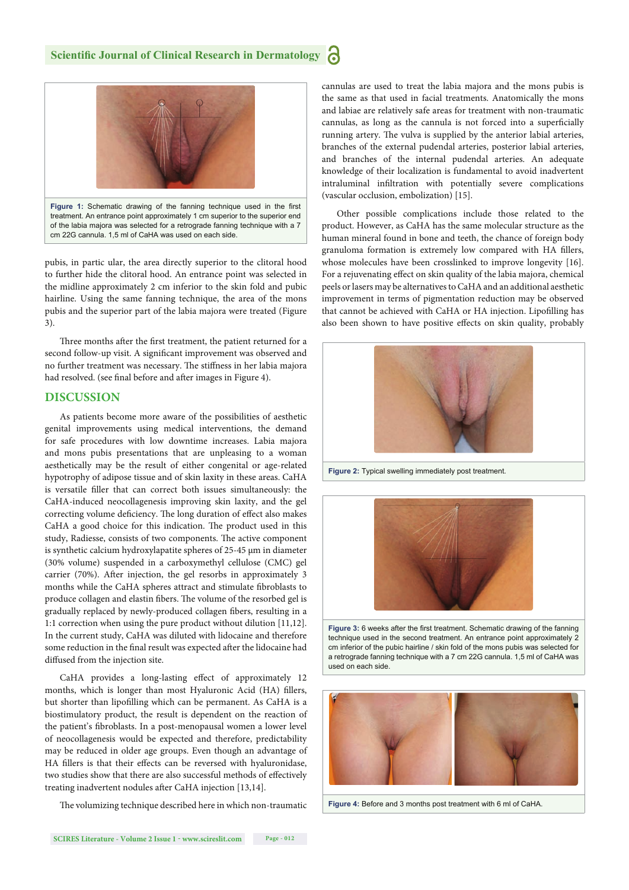

pubis, in partic ular, the area directly superior to the clitoral hood to further hide the clitoral hood. An entrance point was selected in the midline approximately 2 cm inferior to the skin fold and pubic hairline. Using the same fanning technique, the area of the mons pubis and the superior part of the labia majora were treated (Figure 3).

Three months after the first treatment, the patient returned for a second follow-up visit. A significant improvement was observed and no further treatment was necessary. The stiffness in her labia majora had resolved. (see final before and after images in Figure 4).

#### **DISCUSSION**

As patients become more aware of the possibilities of aesthetic genital improvements using medical interventions, the demand for safe procedures with low downtime increases. Labia majora and mons pubis presentations that are unpleasing to a woman aesthetically may be the result of either congenital or age-related hypotrophy of adipose tissue and of skin laxity in these areas. CaHA is versatile filler that can correct both issues simultaneously: the CaHA-induced neocollagenesis improving skin laxity, and the gel correcting volume deficiency. The long duration of effect also makes CaHA a good choice for this indication. The product used in this study, Radiesse, consists of two components. The active component is synthetic calcium hydroxylapatite spheres of 25-45 μm in diameter (30% volume) suspended in a carboxymethyl cellulose (CMC) gel carrier (70%). After injection, the gel resorbs in approximately 3 months while the CaHA spheres attract and stimulate fibroblasts to produce collagen and elastin fibers. The volume of the resorbed gel is gradually replaced by newly-produced collagen fibers, resulting in a 1:1 correction when using the pure product without dilution [11,12]. In the current study, CaHA was diluted with lidocaine and therefore some reduction in the final result was expected after the lidocaine had diffused from the injection site.

CaHA provides a long-lasting effect of approximately 12 months, which is longer than most Hyaluronic Acid (HA) fillers, but shorter than lipofilling which can be permanent. As CaHA is a biostimulatory product, the result is dependent on the reaction of the patient's fibroblasts. In a post-menopausal women a lower level of neocollagenesis would be expected and therefore, predictability may be reduced in older age groups. Even though an advantage of HA fillers is that their effects can be reversed with hyaluronidase, two studies show that there are also successful methods of effectively treating inadvertent nodules after CaHA injection [13,14].

The volumizing technique described here in which non-traumatic

cannulas are used to treat the labia majora and the mons pubis is the same as that used in facial treatments. Anatomically the mons and labiae are relatively safe areas for treatment with non-traumatic cannulas, as long as the cannula is not forced into a superficially running artery. The vulva is supplied by the anterior labial arteries, branches of the external pudendal arteries, posterior labial arteries, and branches of the internal pudendal arteries. An adequate knowledge of their localization is fundamental to avoid inadvertent intraluminal infiltration with potentially severe complications (vascular occlusion, embolization) [15].

Other possible complications include those related to the product. However, as CaHA has the same molecular structure as the human mineral found in bone and teeth, the chance of foreign body granuloma formation is extremely low compared with HA fillers, whose molecules have been crosslinked to improve longevity [16]. For a rejuvenating effect on skin quality of the labia majora, chemical peels or lasers may be alternatives to CaHA and an additional aesthetic improvement in terms of pigmentation reduction may be observed that cannot be achieved with CaHA or HA injection. Lipofilling has also been shown to have positive effects on skin quality, probably



**Figure 2:** Typical swelling immediately post treatment.



Figure 3: 6 weeks after the first treatment. Schematic drawing of the fanning technique used in the second treatment. An entrance point approximately 2 cm inferior of the pubic hairline / skin fold of the mons pubis was selected for a retrograde fanning technique with a 7 cm 22G cannula. 1,5 ml of CaHA was used on each side.



**Figure 4:** Before and 3 months post treatment with 6 ml of CaHA.